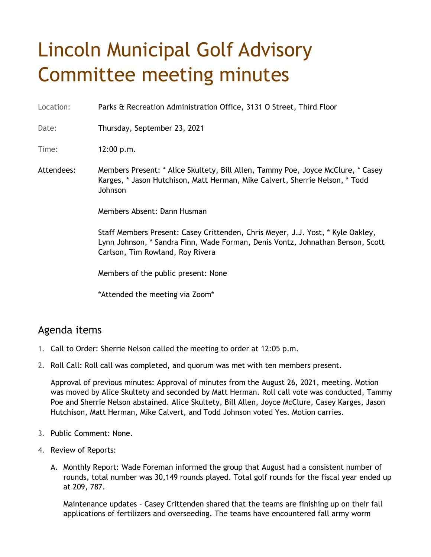## Lincoln Municipal Golf Advisory Committee meeting minutes

Location: Parks & Recreation Administration Office, 3131 O Street, Third Floor

Date: Thursday, September 23, 2021

Time: 12:00 p.m.

Attendees: Members Present: \* Alice Skultety, Bill Allen, Tammy Poe, Joyce McClure, \* Casey Karges, \* Jason Hutchison, Matt Herman, Mike Calvert, Sherrie Nelson, \* Todd Johnson

Members Absent: Dann Husman

Staff Members Present: Casey Crittenden, Chris Meyer, J.J. Yost, \* Kyle Oakley, Lynn Johnson, \* Sandra Finn, Wade Forman, Denis Vontz, Johnathan Benson, Scott Carlson, Tim Rowland, Roy Rivera

Members of the public present: None

\*Attended the meeting via Zoom\*

## Agenda items

- 1. Call to Order: Sherrie Nelson called the meeting to order at 12:05 p.m.
- 2. Roll Call: Roll call was completed, and quorum was met with ten members present.

Approval of previous minutes: Approval of minutes from the August 26, 2021, meeting. Motion was moved by Alice Skultety and seconded by Matt Herman. Roll call vote was conducted, Tammy Poe and Sherrie Nelson abstained. Alice Skultety, Bill Allen, Joyce McClure, Casey Karges, Jason Hutchison, Matt Herman, Mike Calvert, and Todd Johnson voted Yes. Motion carries.

- 3. Public Comment: None.
- 4. Review of Reports:
	- A. Monthly Report: Wade Foreman informed the group that August had a consistent number of rounds, total number was 30,149 rounds played. Total golf rounds for the fiscal year ended up at 209, 787.

Maintenance updates – Casey Crittenden shared that the teams are finishing up on their fall applications of fertilizers and overseeding. The teams have encountered fall army worm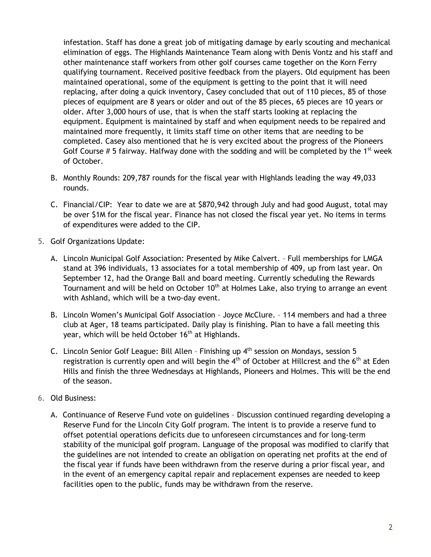infestation. Staff has done a great job of mitigating damage by early scouting and mechanical elimination of eggs. The Highlands Maintenance Team along with Denis Vontz and his staff and other maintenance staff workers from other golf courses came together on the Korn Ferry qualifying tournament. Received positive feedback from the players. Old equipment has been maintained operational, some of the equipment is getting to the point that it will need replacing, after doing a quick inventory, Casey concluded that out of 110 pieces, 85 of those pieces of equipment are 8 years or older and out of the 85 pieces, 65 pieces are 10 years or older. After 3,000 hours of use, that is when the staff starts looking at replacing the equipment. Equipment is maintained by staff and when equipment needs to be repaired and maintained more frequently, it limits staff time on other items that are needing to be completed. Casey also mentioned that he is very excited about the progress of the Pioneers Golf Course  $# 5$  fairway. Halfway done with the sodding and will be completed by the 1<sup>st</sup> week of October.

- B. Monthly Rounds: 209,787 rounds for the fiscal year with Highlands leading the way 49,033 rounds.
- C. Financial/CIP: Year to date we are at \$870,942 through July and had good August, total may be over \$1M for the fiscal year. Finance has not closed the fiscal year yet. No items in terms of expenditures were added to the CIP.
- 5. Golf Organizations Update:
	- A. Lincoln Municipal Golf Association: Presented by Mike Calvert. Full memberships for LMGA stand at 396 individuals, 13 associates for a total membership of 409, up from last year. On September 12, had the Orange Ball and board meeting. Currently scheduling the Rewards Tournament and will be held on October 10<sup>th</sup> at Holmes Lake, also trying to arrange an event with Ashland, which will be a two-day event.
	- B. Lincoln Women's Municipal Golf Association Joyce McClure. 114 members and had a three club at Ager, 18 teams participated. Daily play is finishing. Plan to have a fall meeting this year, which will be held October 16<sup>th</sup> at Highlands.
	- C. Lincoln Senior Golf League: Bill Allen Finishing up 4<sup>th</sup> session on Mondays, session 5 registration is currently open and will begin the  $4<sup>th</sup>$  of October at Hillcrest and the 6<sup>th</sup> at Eden Hills and finish the three Wednesdays at Highlands, Pioneers and Holmes. This will be the end of the season.
- 6. Old Business:
	- A. Continuance of Reserve Fund vote on guidelines Discussion continued regarding developing a Reserve Fund for the Lincoln City Golf program. The intent is to provide a reserve fund to offset potential operations deficits due to unforeseen circumstances and for long-term stability of the municipal golf program. Language of the proposal was modified to clarify that the guidelines are not intended to create an obligation on operating net profits at the end of the fiscal year if funds have been withdrawn from the reserve during a prior fiscal year, and in the event of an emergency capital repair and replacement expenses are needed to keep facilities open to the public, funds may be withdrawn from the reserve.